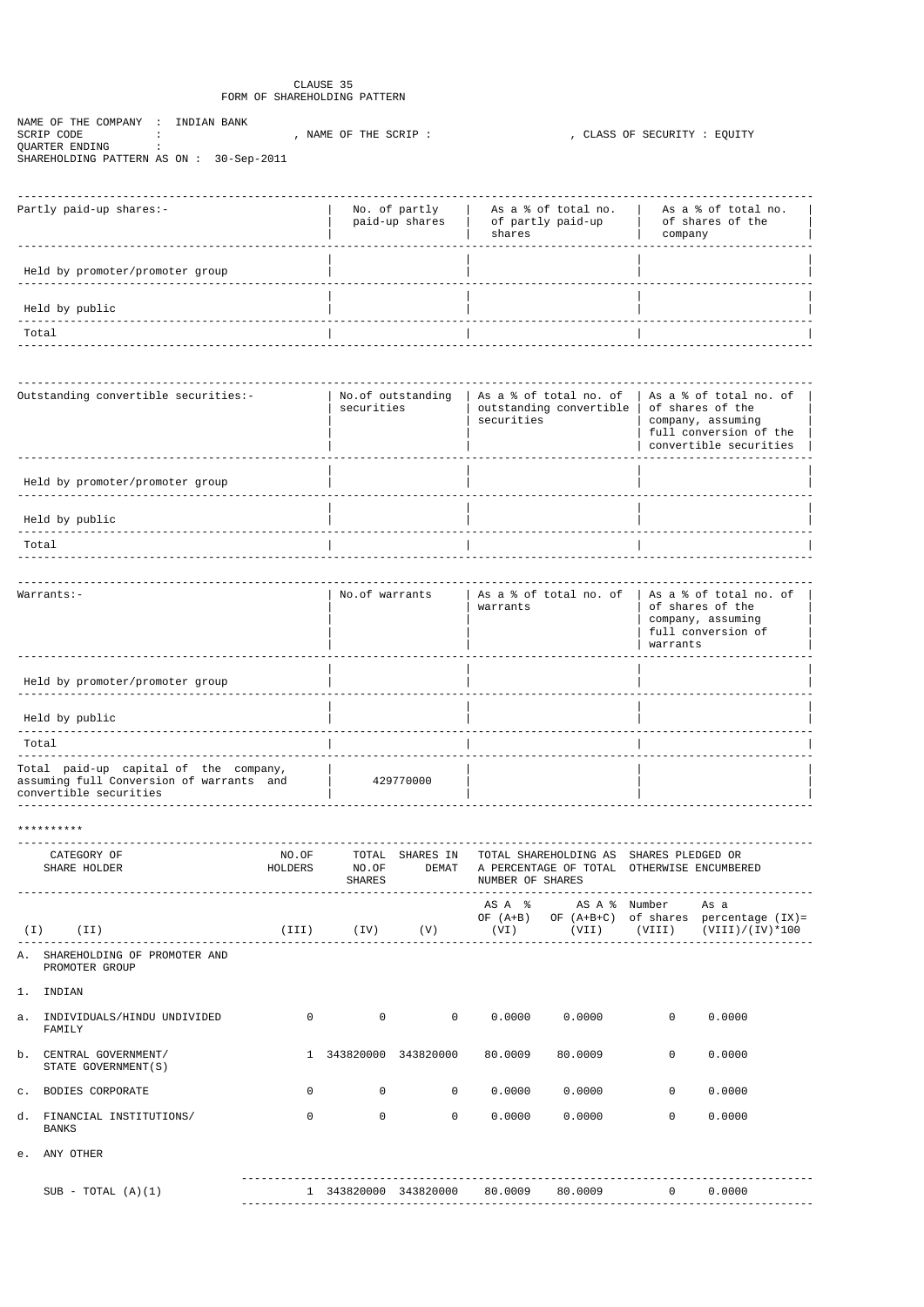## CLAUSE 35 FORM OF SHAREHOLDING PATTERN

NAME OF THE COMPANY : INDIAN BANK SCRIP CODE : , NAME OF THE SCRIP : , CLASS OF SECURITY : EQUITY QUARTER ENDING : SHAREHOLDING PATTERN AS ON : 30-Sep-2011

| Partly paid-up shares:-         | No. of partly<br>paid-up shares | As a % of total no.<br>of partly paid-up<br>shares | As a % of total no.<br>of shares of the<br>company |
|---------------------------------|---------------------------------|----------------------------------------------------|----------------------------------------------------|
| Held by promoter/promoter group |                                 |                                                    |                                                    |
| Held by public                  |                                 |                                                    |                                                    |
| Total                           |                                 |                                                    |                                                    |

| Outstanding convertible securities:- | No.of outstanding<br>securities | As a % of total no. of<br>outstanding convertible<br>securities | As a % of total no. of<br>of shares of the<br>company, assuming<br>full conversion of the<br>convertible securities |
|--------------------------------------|---------------------------------|-----------------------------------------------------------------|---------------------------------------------------------------------------------------------------------------------|
| Held by promoter/promoter group      |                                 |                                                                 |                                                                                                                     |
| Held by public                       |                                 |                                                                 |                                                                                                                     |
| Total                                |                                 |                                                                 |                                                                                                                     |
|                                      |                                 |                                                                 |                                                                                                                     |

| No.of warrants | As a % of total no. of<br>warrants | As a % of total no. of<br>of shares of the<br>company, assuming<br>full conversion of<br>warrants |
|----------------|------------------------------------|---------------------------------------------------------------------------------------------------|
|                |                                    |                                                                                                   |
|                |                                    |                                                                                                   |
|                |                                    |                                                                                                   |
| 429770000      |                                    |                                                                                                   |
|                |                                    |                                                                                                   |

\*\*\*\*\*\*\*\*\*\*

| CATEGORY OF<br>SHARE HOLDER        | NO.OF<br>HOLDERS | TOTAL<br>NO.OF<br>SHARES | SHARES IN<br>DEMAT | NUMBER OF SHARES            | TOTAL SHAREHOLDING AS<br>A PERCENTAGE OF TOTAL | SHARES PLEDGED OR<br>OTHERWISE ENCUMBERED |                                               |
|------------------------------------|------------------|--------------------------|--------------------|-----------------------------|------------------------------------------------|-------------------------------------------|-----------------------------------------------|
| ( I )<br>(II)                      | (III)            | (IV)                     | (V)                | ASA %<br>OF $(A+B)$<br>(VI) | AS A % Number<br>$OF (A+B+C)$<br>(VII)         | of shares<br>(VIII)                       | As a<br>percentage (IX)=<br>$(VIII)/(IV)*100$ |
| SHAREHOLDING OF PROMOTER AND<br>Α. |                  |                          |                    |                             |                                                |                                           |                                               |

PROMOTER GROUP

1. INDIAN

| a.             | INDIVIDUALS/HINDU UNDIVIDED<br>FAMILY       | $\mathbf 0$ | $\mathbf 0$ | $\overline{0}$ | 0.0000  | 0.0000  | 0        | 0.0000 |
|----------------|---------------------------------------------|-------------|-------------|----------------|---------|---------|----------|--------|
| b.             | CENTRAL GOVERNMENT/<br>STATE GOVERNMENT (S) |             | 343820000   | 343820000      | 80.0009 | 80.0009 | $\Omega$ | 0.0000 |
| $\mathsf{C}$ . | BODIES CORPORATE                            | $\mathbf 0$ | $\mathbf 0$ | $\Omega$       | 0.0000  | 0.0000  | 0        | 0.0000 |
| d.             | FINANCIAL INSTITUTIONS/<br>BANKS            | $\mathbf 0$ | $\mathbf 0$ | $\Omega$       | 0.0000  | 0.0000  | 0        | 0.0000 |
| e.             | ANY OTHER                                   |             |             |                |         |         |          |        |
|                | $SUB - TOTAL (A)(1)$                        |             | 343820000   | 343820000      | 80.0009 | 80.0009 | $\Omega$ | 0.0000 |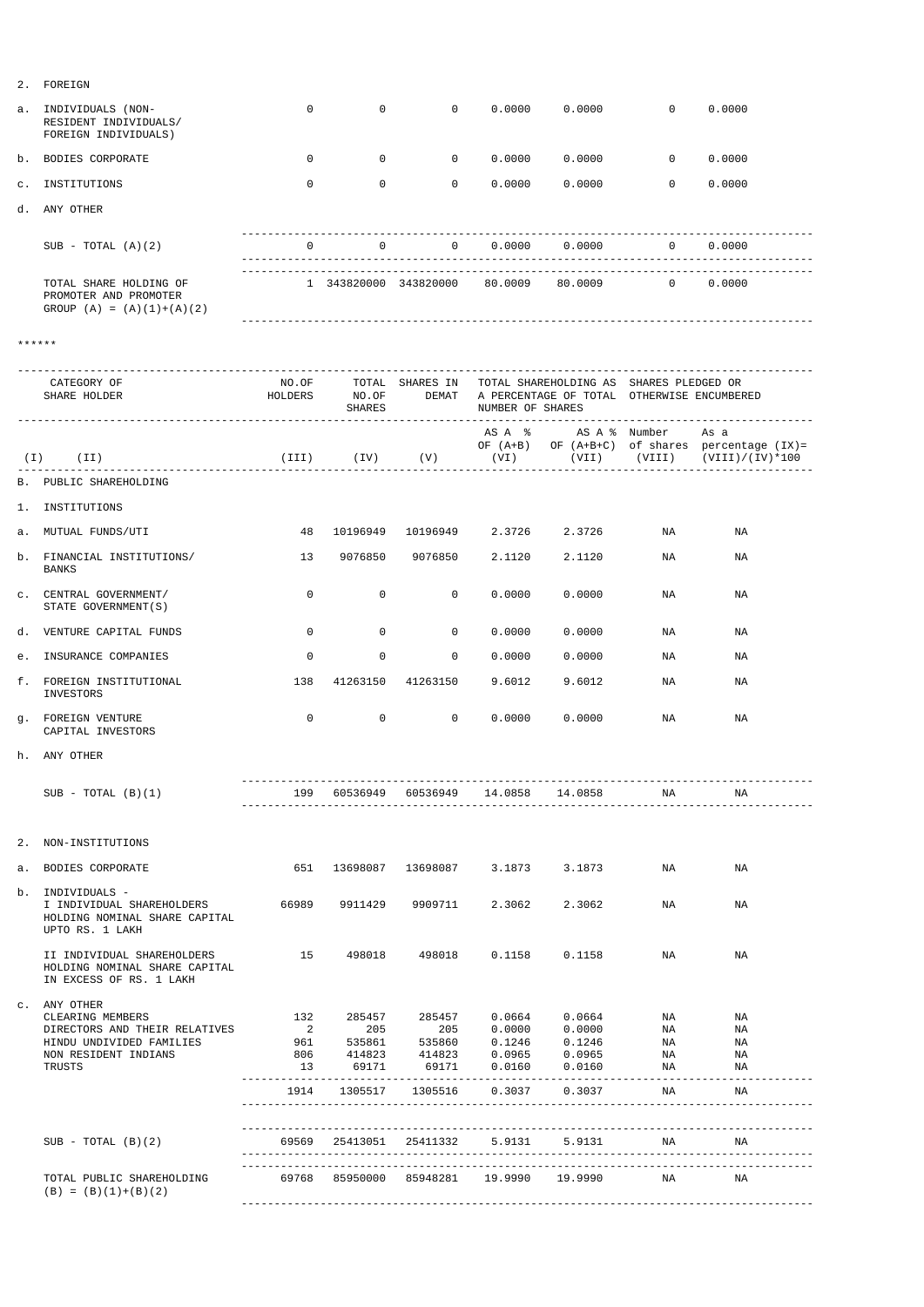| a. INDIVIDUALS (NON-<br>RESIDENT INDIVIDUALS/<br>FOREIGN INDIVIDUALS)                             | $\mathbf 0$    | $\Omega$       | $\Omega$                     |                   | $0.0000$ $0.0000$                                                                                                                                                                                                                                                                                                                                                                                                                                                                                                                                                    | $\Omega$                      | 0.0000                                                              |
|---------------------------------------------------------------------------------------------------|----------------|----------------|------------------------------|-------------------|----------------------------------------------------------------------------------------------------------------------------------------------------------------------------------------------------------------------------------------------------------------------------------------------------------------------------------------------------------------------------------------------------------------------------------------------------------------------------------------------------------------------------------------------------------------------|-------------------------------|---------------------------------------------------------------------|
| b. BODIES CORPORATE                                                                               | $\overline{0}$ | $\Omega$       |                              |                   | $0 \t 0.0000 \t 0.0000 \t 0 \t 0.0000$                                                                                                                                                                                                                                                                                                                                                                                                                                                                                                                               |                               |                                                                     |
| c. INSTITUTIONS                                                                                   | $\Omega$       | $\Omega$       | $\Omega$                     |                   | $0.0000$ $0.0000$                                                                                                                                                                                                                                                                                                                                                                                                                                                                                                                                                    | $\Omega$                      | 0.0000                                                              |
| d. ANY OTHER                                                                                      |                |                |                              |                   |                                                                                                                                                                                                                                                                                                                                                                                                                                                                                                                                                                      |                               |                                                                     |
| $SUB - TOTAL (A)(2)$                                                                              | $\Omega$       |                |                              |                   | $\begin{matrix}0\end{matrix} \qquad \qquad \begin{matrix}0\end{matrix} \qquad \qquad \begin{matrix}0\end{matrix} \qquad \begin{matrix}0\end{matrix} \qquad \begin{matrix}0\end{matrix} \qquad \qquad \begin{matrix}0\end{matrix} \qquad \qquad \begin{matrix}0\end{matrix} \qquad \qquad \begin{matrix}0\end{matrix} \qquad \qquad \begin{matrix}0\end{matrix} \qquad \qquad \begin{matrix}0\end{matrix} \qquad \qquad \begin{matrix}0\end{matrix} \qquad \qquad \begin{matrix}0\end{matrix} \qquad \qquad \begin{matrix}0\end{matrix} \qquad \qquad \begin{matrix}$ |                               |                                                                     |
| TOTAL SHARE HOLDING OF<br>PROMOTER AND PROMOTER<br>GROUP $(A) = (A)(1)+(A)(2)$                    |                |                |                              |                   | $1$ 343820000 343820000 80.0009 80.0009 0 0.0000                                                                                                                                                                                                                                                                                                                                                                                                                                                                                                                     |                               |                                                                     |
| ******                                                                                            |                |                |                              |                   |                                                                                                                                                                                                                                                                                                                                                                                                                                                                                                                                                                      |                               |                                                                     |
| CATEGORY OF<br>SHARE HOLDER                                                                       | HOLDERS NO.OF  | SHARES         |                              | NUMBER OF SHARES  | NO.OF TOTAL SHARES IN TOTAL SHAREHOLDING AS SHARES PLEDGED OR<br>DEMAT A PERCENTAGE OF TOTAL OTHERWISE ENCUMBERED                                                                                                                                                                                                                                                                                                                                                                                                                                                    |                               |                                                                     |
| $(I)$ $(II)$<br>________________________________                                                  |                |                |                              |                   | AS A % AS A % Number As a<br>(III) (IV) (V) (VI) (VII) (VIII)                                                                                                                                                                                                                                                                                                                                                                                                                                                                                                        |                               | OF (A+B) OF (A+B+C) of shares percentage (IX)=<br>$(VIII)/(IV)*100$ |
| B. PUBLIC SHAREHOLDING                                                                            |                |                |                              |                   |                                                                                                                                                                                                                                                                                                                                                                                                                                                                                                                                                                      |                               |                                                                     |
| 1. INSTITUTIONS                                                                                   |                |                |                              |                   |                                                                                                                                                                                                                                                                                                                                                                                                                                                                                                                                                                      |                               |                                                                     |
| a. MUTUAL FUNDS/UTI                                                                               | 48             |                |                              |                   | 10196949  10196949  2.3726  2.3726                                                                                                                                                                                                                                                                                                                                                                                                                                                                                                                                   | NA                            | ΝA                                                                  |
| b. FINANCIAL INSTITUTIONS/<br>BANKS                                                               | 13             |                |                              |                   |                                                                                                                                                                                                                                                                                                                                                                                                                                                                                                                                                                      | NA                            | ΝA                                                                  |
| C. CENTRAL GOVERNMENT/<br>STATE GOVERNMENT (S)                                                    | $\mathbf 0$    | $\overline{0}$ | $\overline{0}$               | 0.0000            | 0.0000                                                                                                                                                                                                                                                                                                                                                                                                                                                                                                                                                               | NA                            | NA                                                                  |
| d. VENTURE CAPITAL FUNDS                                                                          | $\mathbf{0}$   | $\overline{0}$ | $\mathbf{0}$                 | 0.0000            | 0.0000                                                                                                                                                                                                                                                                                                                                                                                                                                                                                                                                                               | NA                            | NA                                                                  |
| e. INSURANCE COMPANIES                                                                            | $\mathbf 0$    | $\overline{0}$ | $\overline{0}$               | 0.0000            | 0.0000                                                                                                                                                                                                                                                                                                                                                                                                                                                                                                                                                               | NA                            | NA                                                                  |
| f. FOREIGN INSTITUTIONAL<br>INVESTORS                                                             | 138            |                | 41263150 41263150            | 9.6012            | 9.6012                                                                                                                                                                                                                                                                                                                                                                                                                                                                                                                                                               | NA                            | NA                                                                  |
| q. FOREIGN VENTURE<br>CAPITAL INVESTORS                                                           | $\overline{0}$ | $\overline{0}$ | $\overline{0}$               | 0.0000            | 0.0000                                                                                                                                                                                                                                                                                                                                                                                                                                                                                                                                                               | NA                            | NA                                                                  |
| h. ANY OTHER                                                                                      |                |                |                              |                   |                                                                                                                                                                                                                                                                                                                                                                                                                                                                                                                                                                      |                               |                                                                     |
| $SUB - TOTAL (B)(1)$                                                                              |                |                |                              | -----------       | 199    60536949    60536949    14.0858    14.0858                                                                                                                                                                                                                                                                                                                                                                                                                                                                                                                    | NA<br>----------------------- | NA                                                                  |
| 2. NON-INSTITUTIONS                                                                               |                |                |                              |                   |                                                                                                                                                                                                                                                                                                                                                                                                                                                                                                                                                                      |                               |                                                                     |
| a. BODIES CORPORATE                                                                               |                |                | 651 13698087 13698087 3.1873 |                   | 3.1873                                                                                                                                                                                                                                                                                                                                                                                                                                                                                                                                                               | NA                            | NA                                                                  |
| b. INDIVIDUALS -<br>I INDIVIDUAL SHAREHOLDERS<br>HOLDING NOMINAL SHARE CAPITAL<br>UPTO RS. 1 LAKH | 66989          |                |                              | 2.3062            | 2.3062                                                                                                                                                                                                                                                                                                                                                                                                                                                                                                                                                               | NA                            | NA                                                                  |
| II INDIVIDUAL SHAREHOLDERS                                                                        | 15             | 498018         | 498018                       | $0.1158$ $0.1158$ |                                                                                                                                                                                                                                                                                                                                                                                                                                                                                                                                                                      | NA                            | NA                                                                  |

 HOLDING NOMINAL SHARE CAPITAL IN EXCESS OF RS. 1 LAKH

| ANY | OTHER |
|-----|-------|
|     |       |

| CLEARING MEMBERS                                   | 132   | 285457   | 285457   | 0.0664  | 0.0664  | ΝA | NA |  |
|----------------------------------------------------|-------|----------|----------|---------|---------|----|----|--|
| DIRECTORS AND THEIR RELATIVES                      | 2     | 205      | 205      | 0.0000  | 0.0000  | ΝA | NA |  |
| HINDU UNDIVIDED FAMILIES                           | 961   | 535861   | 535860   | 0.1246  | 0.1246  | ΝA | NA |  |
| NON RESIDENT INDIANS                               | 806   | 414823   | 414823   | 0.0965  | 0.0965  | ΝA | NA |  |
| TRUSTS                                             | 13    | 69171    | 69171    | 0.0160  | 0.0160  | ΝA | ΝA |  |
|                                                    | 1914  | 1305517  | 1305516  | 0.3037  | 0.3037  | ΝA | ΝA |  |
|                                                    |       |          |          |         |         |    |    |  |
| $SUB - TOTAL (B)(2)$                               | 69569 | 25413051 | 25411332 | 5.9131  | 5.9131  | ΝA | ΝA |  |
| TOTAL PUBLIC SHAREHOLDING<br>$(B) = (B)(1)+(B)(2)$ | 69768 | 85950000 | 85948281 | 19.9990 | 19.9990 | ΝA | ΝA |  |
|                                                    |       |          |          |         |         |    |    |  |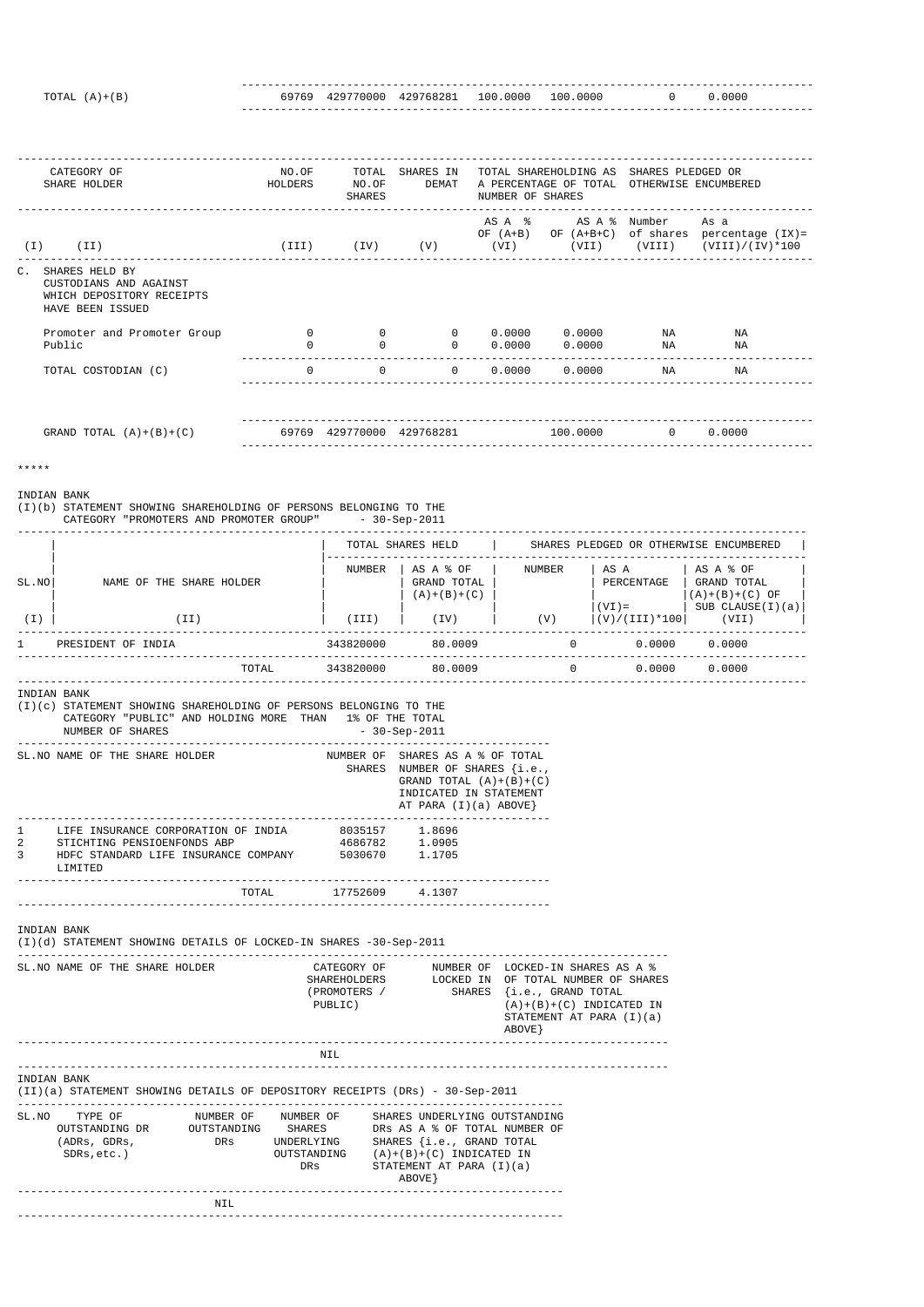--------------------------------------------------------------------------------------- TOTAL (A)+(B) 69769 429770000 429768281 100.0000 100.0000 0 0.0000 ---------------------------------------------------------------------------------------

(I)(b) STATEMENT SHOWING SHAREHOLDING OF PERSONS BELONGING TO THE CATEGORY "PROMOTERS AND PROMOTER GROUP" - 30-Sep-2011

| CATEGORY OF<br>SHARE HOLDER                                                                                 | NO.OF<br>HOLDERS | TOTAL<br>NO.OF<br>SHARES | SHARES IN<br>DEMAT        | NUMBER OF SHARES | TOTAL SHAREHOLDING AS<br>A PERCENTAGE OF TOTAL OTHERWISE ENCUMBERED | SHARES PLEDGED OR |                                                                                        |
|-------------------------------------------------------------------------------------------------------------|------------------|--------------------------|---------------------------|------------------|---------------------------------------------------------------------|-------------------|----------------------------------------------------------------------------------------|
| ( I )<br>(II)                                                                                               |                  |                          |                           |                  | AS A % AS A % Number<br>OF $(A+B)$ OF $(A+B+C)$                     |                   | As a<br>of shares percentage (IX)=<br>(III) (IV) (V) (VI) (VII) (VIII) (VIII)/(IV)*100 |
| $\mathsf{C}$ .<br>SHARES HELD BY<br>CUSTODIANS AND AGAINST<br>WHICH DEPOSITORY RECEIPTS<br>HAVE BEEN ISSUED |                  |                          |                           |                  |                                                                     |                   |                                                                                        |
| Promoter and Promoter Group                                                                                 | $\overline{0}$   | $\overline{0}$           | $\overline{0}$            |                  | $0.0000$ $0.0000$                                                   | ΝA                | ΝA                                                                                     |
| Public                                                                                                      | 0                | $\Omega$                 | $\Omega$                  | 0.0000           | 0.0000                                                              | ΝA                | ΝA                                                                                     |
| TOTAL COSTODIAN (C)                                                                                         | $\overline{0}$   | $\overline{0}$           | $\Omega$                  |                  | $0.0000$ $0.0000$                                                   | ΝA                | ΝA                                                                                     |
| GRAND TOTAL $(A)+(B)+(C)$                                                                                   |                  |                          | 69769 429770000 429768281 |                  | 100.0000                                                            | $\cap$            | 0.0000                                                                                 |
|                                                                                                             |                  |                          |                           |                  |                                                                     |                   |                                                                                        |

\*\*\*\*\*

## INDIAN BANK

|       |                          |           | TOTAL SHARES HELD                             |          |                                | SHARES PLEDGED OR OTHERWISE ENCUMBERED                             |
|-------|--------------------------|-----------|-----------------------------------------------|----------|--------------------------------|--------------------------------------------------------------------|
| SL.NO | NAME OF THE SHARE HOLDER | NUMBER    | AS A % OF<br>GRAND TOTAL<br>$(A) + (B) + (C)$ | NUMBER   | AS A<br>PERCENTAGE<br>$(VI) =$ | AS A % OF<br>GRAND TOTAL<br>$(A)+(B)+(C)$ OF<br>SUB $CLAUSE(I)(a)$ |
| (I)   | (II)                     | (III)     | (IV)                                          | (V)      | $(V)/(III)*100$                | (VII)                                                              |
|       | PRESIDENT OF INDIA       | 343820000 | 80.0009                                       | $\Omega$ | 0.0000                         | 0.0000                                                             |
|       | TOTAL                    | 343820000 | 80.0009                                       | $\Omega$ | 0.0000                         | 0.0000                                                             |

INDIAN BANK

|   | SL. NO NAME OF THE SHARE HOLDER                                |                       | NUMBER OF SHARES AS A % OF TOTAL<br>SHARES NUMBER OF SHARES $\{i.e.,\}$<br>GRAND TOTAL $(A)+(B)+(C)$<br>INDICATED IN STATEMENT<br>AT PARA $(I)(a)$ ABOVE} |
|---|----------------------------------------------------------------|-----------------------|-----------------------------------------------------------------------------------------------------------------------------------------------------------|
|   | LIFE INSURANCE CORPORATION OF INDIA 6035157 1.8696             |                       |                                                                                                                                                           |
| 2 | STICHTING PENSIOENFONDS ABP                                    | 4686782 1.0905        |                                                                                                                                                           |
| 3 | HDFC STANDARD LIFE INSURANCE COMPANY 5030670 1.1705<br>LIMITED |                       |                                                                                                                                                           |
|   |                                                                | TOTAL 17752609 4.1307 |                                                                                                                                                           |

|                      | SL. NO NAME OF THE SHARE HOLDER        |                                   | PUBLIC)                                                                                                                                                                                                     | CATEGORY OF<br>SHAREHOLDERS<br>(PROMOTERS / |                                                                                        | LOCKED-IN SHARES AS A %<br>OF TOTAL NUMBER OF SHARES<br>{i.e., GRAND TOTAL<br>SHARES<br>$(A)+(B)+(C)$ INDICATED IN<br>STATEMENT AT PARA $(I)(a)$<br>ABOVE } |
|----------------------|----------------------------------------|-----------------------------------|-------------------------------------------------------------------------------------------------------------------------------------------------------------------------------------------------------------|---------------------------------------------|----------------------------------------------------------------------------------------|-------------------------------------------------------------------------------------------------------------------------------------------------------------|
|                      |                                        |                                   | NIL                                                                                                                                                                                                         |                                             |                                                                                        |                                                                                                                                                             |
| INDIAN BANK<br>SL.NO | TYPE OF<br>(ADRs, GDRs,<br>SDRs, etc.) | OUTSTANDING DR OUTSTANDING<br>DRs | (II)(a) STATEMENT SHOWING DETAILS OF DEPOSITORY RECEIPTS (DRs) - 30-Sep-2011<br>NUMBER OF ANUMBER OF SHARES UNDERLYING OUTSTANDING<br>SHARES<br>UNDERLYING<br>OUTSTANDING $(A)+(B)+(C)$ INDICATED IN<br>DRs | ABOVE                                       | DRS AS A % OF TOTAL NUMBER OF<br>SHARES {i.e., GRAND TOTAL<br>STATEMENT AT PARA (I)(a) |                                                                                                                                                             |
|                      |                                        | NIL                               |                                                                                                                                                                                                             |                                             |                                                                                        |                                                                                                                                                             |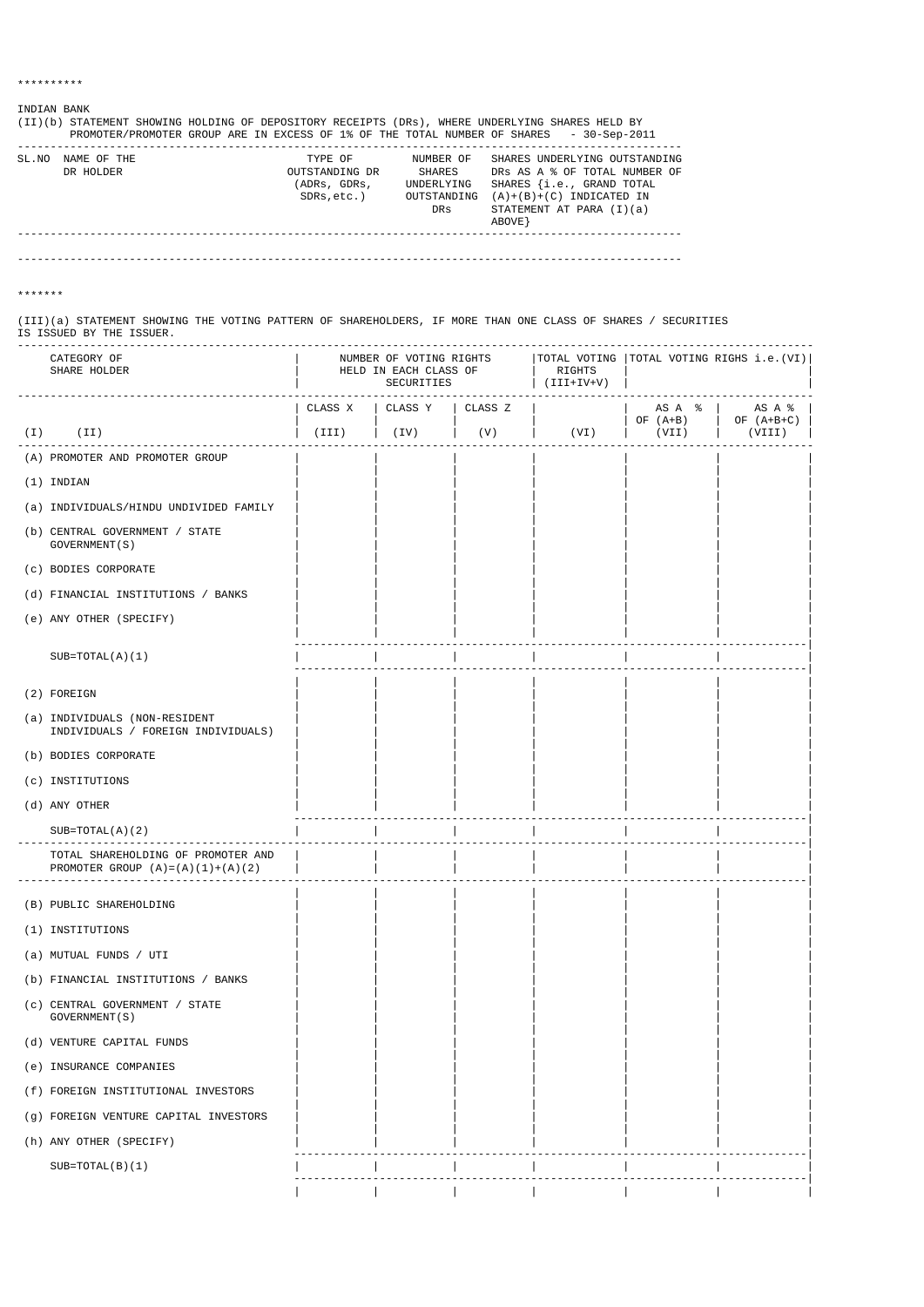## INDIAN BANK

| (II)(b) |             |                |             | STATEMENT SHOWING HOLDING OF DEPOSITORY RECEIPTS (DRs), WHERE UNDERLYING SHARES HELD BY |
|---------|-------------|----------------|-------------|-----------------------------------------------------------------------------------------|
|         |             |                |             | PROMOTER/PROMOTER GROUP ARE IN EXCESS OF 1% OF THE TOTAL NUMBER OF SHARES - 30-Sep-2011 |
| SL.NO   | NAME OF THE | TYPE OF        | NUMBER OF   | SHARES UNDERLYING OUTSTANDING                                                           |
|         | DR HOLDER   | OUTSTANDING DR | SHARES      | DRS AS A % OF TOTAL NUMBER OF                                                           |
|         |             | (ADRs, GDRs,   | UNDERLYING  | SHARES {i.e., GRAND TOTAL                                                               |
|         |             | SDRs,etc.)     | OUTSTANDING | $(A)+(B)+(C)$ INDICATED IN                                                              |
|         |             |                | DRs         | STATEMENT AT PARA $(I)(a)$                                                              |
|         |             |                |             | ABOVE }                                                                                 |
|         |             |                |             |                                                                                         |
|         |             |                |             |                                                                                         |

-----------------------------------------------------------------------------------------------------

\*\*\*\*\*\*\*

(III)(a) STATEMENT SHOWING THE VOTING PATTERN OF SHAREHOLDERS, IF MORE THAN ONE CLASS OF SHARES / SECURITIES IS ISSUED BY THE ISSUER. -------------------------------------------------------------------------------------------------------------------------

|       | CATEGORY OF<br>SHARE HOLDER                                                    | NUMBER OF VOTING RIGHTS<br>HELD IN EACH CLASS OF<br>SECURITIES |                             |     | TOTAL VOTING<br>RIGHTS<br>$\vert$ (III+IV+V) | TOTAL VOTING RIGHS i.e.(VI) |                                                                                                                                   |
|-------|--------------------------------------------------------------------------------|----------------------------------------------------------------|-----------------------------|-----|----------------------------------------------|-----------------------------|-----------------------------------------------------------------------------------------------------------------------------------|
|       |                                                                                |                                                                | CLASS X   CLASS Y   CLASS Z |     |                                              | $OF (A+B)$ $OF (A+B+C)$     | $\begin{array}{ccc} \text{AS} & \text{A} & \text{S} \end{array}$ $\begin{array}{ccc} \text{AS} & \text{A} & \text{S} \end{array}$ |
| ( I ) | (II)                                                                           | (III)                                                          | $(\mathrm{IV})$             | (V) | ( VI )                                       | (VII)                       | (VIII)                                                                                                                            |
|       | (A) PROMOTER AND PROMOTER GROUP                                                |                                                                |                             |     |                                              |                             |                                                                                                                                   |
|       | (1) INDIAN                                                                     |                                                                |                             |     |                                              |                             |                                                                                                                                   |
|       | (a) INDIVIDUALS/HINDU UNDIVIDED FAMILY                                         |                                                                |                             |     |                                              |                             |                                                                                                                                   |
|       | (b) CENTRAL GOVERNMENT / STATE<br>GOVERNMENT (S)                               |                                                                |                             |     |                                              |                             |                                                                                                                                   |
|       | (c) BODIES CORPORATE                                                           |                                                                |                             |     |                                              |                             |                                                                                                                                   |
|       | (d) FINANCIAL INSTITUTIONS / BANKS                                             |                                                                |                             |     |                                              |                             |                                                                                                                                   |
|       | (e) ANY OTHER (SPECIFY)                                                        |                                                                |                             |     |                                              |                             |                                                                                                                                   |
|       | $SUB=TOTAL(A)(1)$                                                              |                                                                |                             |     |                                              |                             |                                                                                                                                   |
|       | (2) FOREIGN                                                                    |                                                                |                             |     |                                              |                             |                                                                                                                                   |
|       | (a) INDIVIDUALS (NON-RESIDENT<br>INDIVIDUALS / FOREIGN INDIVIDUALS)            |                                                                |                             |     |                                              |                             |                                                                                                                                   |
|       | (b) BODIES CORPORATE                                                           |                                                                |                             |     |                                              |                             |                                                                                                                                   |
|       | (c) INSTITUTIONS                                                               |                                                                |                             |     |                                              |                             |                                                                                                                                   |
|       | (d) ANY OTHER                                                                  |                                                                |                             |     |                                              |                             |                                                                                                                                   |
|       | $SUB=TOTAL(A)(2)$                                                              |                                                                |                             |     |                                              |                             |                                                                                                                                   |
|       | TOTAL SHAREHOLDING OF PROMOTER AND<br>PROMOTER GROUP $(A) = (A) (1) + (A) (2)$ |                                                                |                             |     |                                              |                             |                                                                                                                                   |
|       | (B) PUBLIC SHAREHOLDING                                                        |                                                                |                             |     |                                              |                             |                                                                                                                                   |
|       | (1) INSTITUTIONS                                                               |                                                                |                             |     |                                              |                             |                                                                                                                                   |
|       | (a) MUTUAL FUNDS / UTI                                                         |                                                                |                             |     |                                              |                             |                                                                                                                                   |

(b) FINANCIAL INSTITUTIONS / BANKS | | | | | | |

| (c) | CENTRAL GOVERNMENT / STATE<br>GOVERNMENT (S) |  |  |  |  |
|-----|----------------------------------------------|--|--|--|--|
|     | (d) VENTURE CAPITAL FUNDS                    |  |  |  |  |
|     | (e) INSURANCE COMPANIES                      |  |  |  |  |
|     | (f) FOREIGN INSTITUTIONAL INVESTORS          |  |  |  |  |
|     | (q) FOREIGN VENTURE CAPITAL INVESTORS        |  |  |  |  |
|     | (h) ANY OTHER (SPECIFY)                      |  |  |  |  |
|     | $SUB=TOTAL(B)(1)$                            |  |  |  |  |
|     |                                              |  |  |  |  |